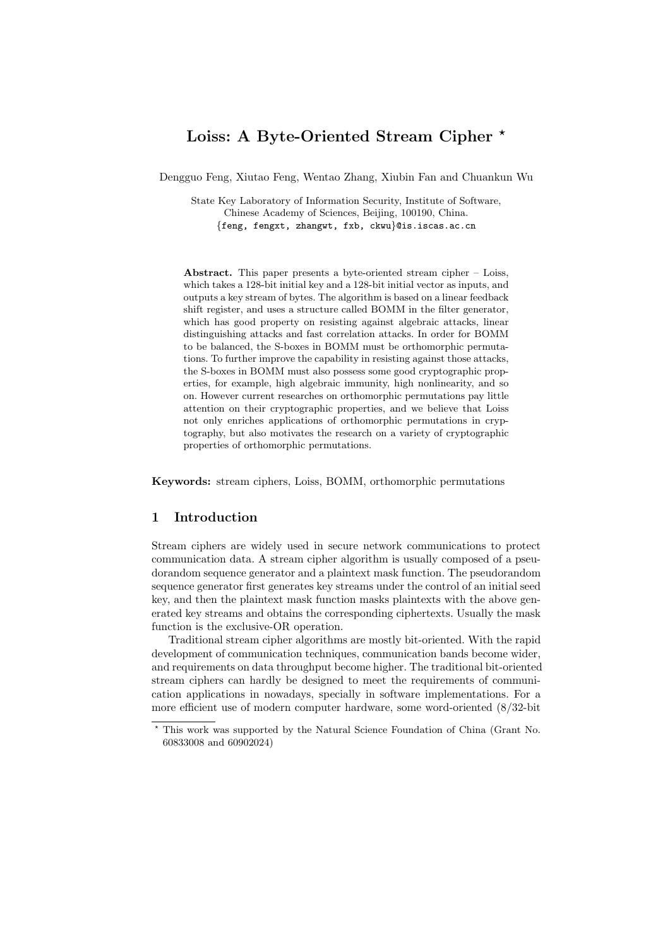# **Loiss: A Byte-Oriented Stream Cipher** *<sup>⋆</sup>*

Dengguo Feng, Xiutao Feng, Wentao Zhang, Xiubin Fan and Chuankun Wu

State Key Laboratory of Information Security, Institute of Software, Chinese Academy of Sciences, Beijing, 100190, China. *{*feng, fengxt, zhangwt, fxb, ckwu*}*@is.iscas.ac.cn

**Abstract.** This paper presents a byte-oriented stream cipher – Loiss, which takes a 128-bit initial key and a 128-bit initial vector as inputs, and outputs a key stream of bytes. The algorithm is based on a linear feedback shift register, and uses a structure called BOMM in the filter generator, which has good property on resisting against algebraic attacks, linear distinguishing attacks and fast correlation attacks. In order for BOMM to be balanced, the S-boxes in BOMM must be orthomorphic permutations. To further improve the capability in resisting against those attacks, the S-boxes in BOMM must also possess some good cryptographic properties, for example, high algebraic immunity, high nonlinearity, and so on. However current researches on orthomorphic permutations pay little attention on their cryptographic properties, and we believe that Loiss not only enriches applications of orthomorphic permutations in cryptography, but also motivates the research on a variety of cryptographic properties of orthomorphic permutations.

**Keywords:** stream ciphers, Loiss, BOMM, orthomorphic permutations

### **1 Introduction**

Stream ciphers are widely used in secure network communications to protect communication data. A stream cipher algorithm is usually composed of a pseudorandom sequence generator and a plaintext mask function. The pseudorandom sequence generator first generates key streams under the control of an initial seed key, and then the plaintext mask function masks plaintexts with the above generated key streams and obtains the corresponding ciphertexts. Usually the mask function is the exclusive-OR operation.

Traditional stream cipher algorithms are mostly bit-oriented. With the rapid development of communication techniques, communication bands become wider, and requirements on data throughput become higher. The traditional bit-oriented stream ciphers can hardly be designed to meet the requirements of communication applications in nowadays, specially in software implementations. For a more efficient use of modern computer hardware, some word-oriented (8/32-bit

*<sup>⋆</sup>* This work was supported by the Natural Science Foundation of China (Grant No. 60833008 and 60902024)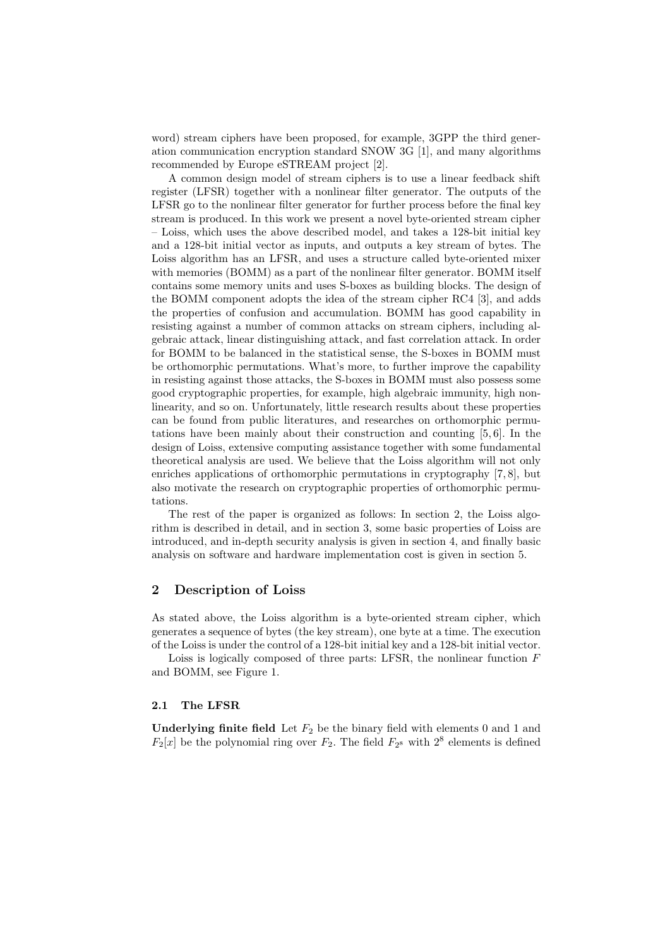word) stream ciphers have been proposed, for example, 3GPP the third generation communication encryption standard SNOW 3G [1], and many algorithms recommended by Europe eSTREAM project [2].

A common design model of stream ciphers is to use a linear feedback shift register (LFSR) together with a nonlinear filter generator. The outputs of the LFSR go to the nonlinear filter generator for further process before the final key stream is produced. In this work we present a novel byte-oriented stream cipher – Loiss, which uses the above described model, and takes a 128-bit initial key and a 128-bit initial vector as inputs, and outputs a key stream of bytes. The Loiss algorithm has an LFSR, and uses a structure called byte-oriented mixer with memories (BOMM) as a part of the nonlinear filter generator. BOMM itself contains some memory units and uses S-boxes as building blocks. The design of the BOMM component adopts the idea of the stream cipher RC4 [3], and adds the properties of confusion and accumulation. BOMM has good capability in resisting against a number of common attacks on stream ciphers, including algebraic attack, linear distinguishing attack, and fast correlation attack. In order for BOMM to be balanced in the statistical sense, the S-boxes in BOMM must be orthomorphic permutations. What's more, to further improve the capability in resisting against those attacks, the S-boxes in BOMM must also possess some good cryptographic properties, for example, high algebraic immunity, high nonlinearity, and so on. Unfortunately, little research results about these properties can be found from public literatures, and researches on orthomorphic permutations have been mainly about their construction and counting [5, 6]. In the design of Loiss, extensive computing assistance together with some fundamental theoretical analysis are used. We believe that the Loiss algorithm will not only enriches applications of orthomorphic permutations in cryptography [7, 8], but also motivate the research on cryptographic properties of orthomorphic permutations.

The rest of the paper is organized as follows: In section 2, the Loiss algorithm is described in detail, and in section 3, some basic properties of Loiss are introduced, and in-depth security analysis is given in section 4, and finally basic analysis on software and hardware implementation cost is given in section 5.

### **2 Description of Loiss**

As stated above, the Loiss algorithm is a byte-oriented stream cipher, which generates a sequence of bytes (the key stream), one byte at a time. The execution of the Loiss is under the control of a 128-bit initial key and a 128-bit initial vector.

Loiss is logically composed of three parts: LFSR, the nonlinear function *F* and BOMM, see Figure 1.

### **2.1 The LFSR**

**Underlying finite field** Let  $F_2$  be the binary field with elements 0 and 1 and  $F_2[x]$  be the polynomial ring over  $F_2$ . The field  $F_2$ <sup>8</sup> with  $2^8$  elements is defined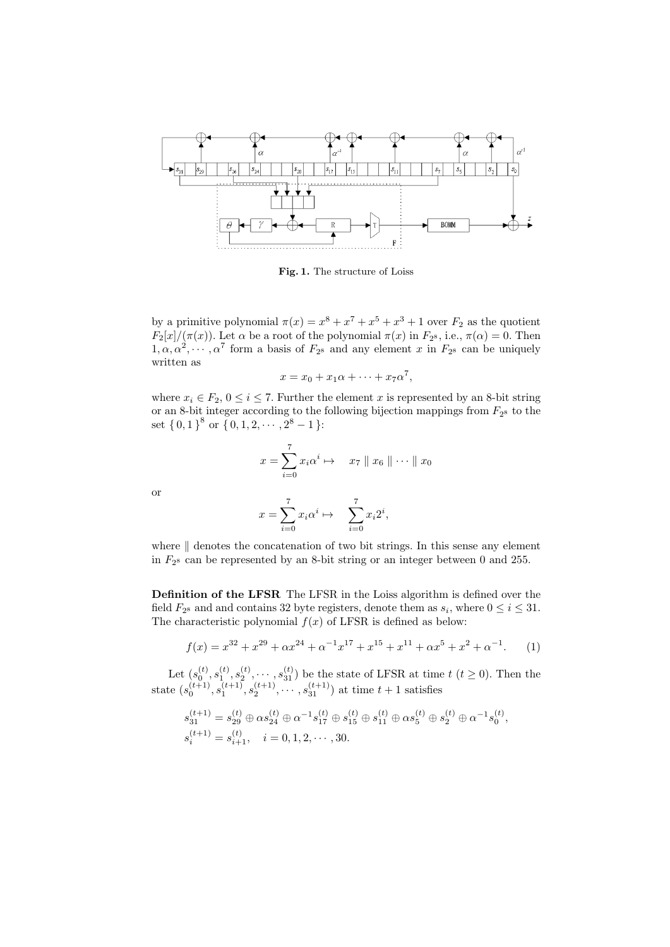

**Fig. 1.** The structure of Loiss

by a primitive polynomial  $\pi(x) = x^8 + x^7 + x^5 + x^3 + 1$  over  $F_2$  as the quotient *F*<sub>2</sub> $[x]/(\pi(x))$ . Let  $\alpha$  be a root of the polynomial  $\pi(x)$  in  $F_{2}$ <sup>s</sup>, i.e.,  $\pi(\alpha) = 0$ . Then  $1, \alpha, \alpha^2, \cdots, \alpha^7$  form a basis of  $F_{2^8}$  and any element *x* in  $F_{2^8}$  can be uniquely written as

$$
x = x_0 + x_1\alpha + \dots + x_7\alpha^7,
$$

where  $x_i \in F_2$ ,  $0 \le i \le 7$ . Further the element *x* is represented by an 8-bit string or an 8-bit integer according to the following bijection mappings from  $F_{2}$ <sup>8</sup> to the set  $\{0,1\}^8$  or  $\{0,1,2,\cdots,2^8-1\}$ :

$$
x = \sum_{i=0}^{7} x_i \alpha^i \mapsto x_7 \parallel x_6 \parallel \cdots \parallel x_0
$$

or

$$
x = \sum_{i=0}^{7} x_i \alpha^i \mapsto \sum_{i=0}^{7} x_i 2^i,
$$

where *∥* denotes the concatenation of two bit strings. In this sense any element in *F*<sup>2</sup> <sup>8</sup> can be represented by an 8-bit string or an integer between 0 and 255.

**Definition of the LFSR** The LFSR in the Loiss algorithm is defined over the field  $F_{2}$ <sup>8</sup> and and contains 32 byte registers, denote them as  $s_i$ , where  $0 \le i \le 31$ . The characteristic polynomial  $f(x)$  of LFSR is defined as below:

$$
f(x) = x^{32} + x^{29} + \alpha x^{24} + \alpha^{-1} x^{17} + x^{15} + x^{11} + \alpha x^5 + x^2 + \alpha^{-1}.
$$
 (1)

Let  $(s_0^{(t)}, s_1^{(t)}, s_2^{(t)}, \cdots, s_{31}^{(t)})$  be the state of LFSR at time  $t$  ( $t \ge 0$ ). Then the state  $(s_0^{(t+1)}, s_1^{(t+1)}, s_2^{(t+1)}, \cdots, s_{31}^{(t+1)})$  at time  $t+1$  satisfies

$$
s_{31}^{(t+1)} = s_{29}^{(t)} \oplus \alpha s_{24}^{(t)} \oplus \alpha^{-1} s_{17}^{(t)} \oplus s_{15}^{(t)} \oplus s_{11}^{(t)} \oplus \alpha s_5^{(t)} \oplus s_2^{(t)} \oplus \alpha^{-1} s_0^{(t)},
$$
  

$$
s_i^{(t+1)} = s_{i+1}^{(t)}, \quad i = 0, 1, 2, \cdots, 30.
$$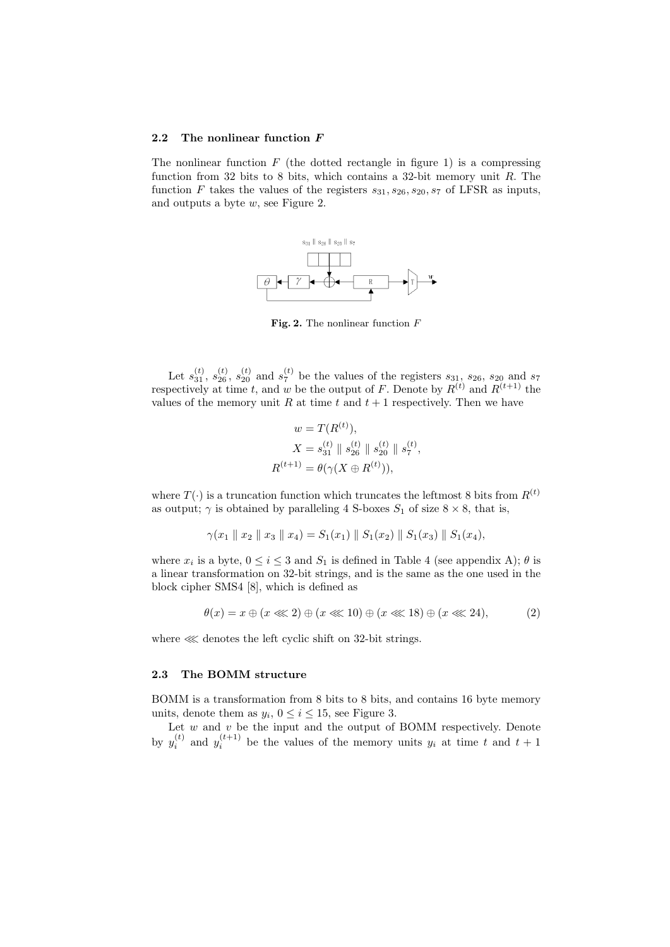#### **2.2 The nonlinear function** *F*

The nonlinear function  $F$  (the dotted rectangle in figure 1) is a compressing function from 32 bits to 8 bits, which contains a 32-bit memory unit *R*. The function *F* takes the values of the registers  $s_{31}, s_{26}, s_{20}, s_7$  of LFSR as inputs, and outputs a byte *w*, see Figure 2.



**Fig. 2.** The nonlinear function *F*

Let  $s_{31}^{(t)}$ ,  $s_{26}^{(t)}$ ,  $s_{20}^{(t)}$  and  $s_7^{(t)}$  be the values of the registers  $s_{31}$ ,  $s_{26}$ ,  $s_{20}$  and  $s_7$ respectively at time *t*, and *w* be the output of *F*. Denote by  $R^{(t)}$  and  $R^{(t+1)}$  the values of the memory unit  $R$  at time  $t$  and  $t + 1$  respectively. Then we have

$$
w = T(R^{(t)}),
$$
  
\n
$$
X = s_{31}^{(t)} \| s_{26}^{(t)} \| s_{20}^{(t)} \| s_7^{(t)},
$$
  
\n
$$
R^{(t+1)} = \theta(\gamma(X \oplus R^{(t)})),
$$

where  $T(\cdot)$  is a truncation function which truncates the leftmost 8 bits from  $R^{(t)}$ as output;  $\gamma$  is obtained by paralleling 4 S-boxes  $S_1$  of size  $8 \times 8$ , that is,

$$
\gamma(x_1 \parallel x_2 \parallel x_3 \parallel x_4) = S_1(x_1) \parallel S_1(x_2) \parallel S_1(x_3) \parallel S_1(x_4),
$$

where  $x_i$  is a byte,  $0 \le i \le 3$  and  $S_1$  is defined in Table 4 (see appendix A);  $\theta$  is a linear transformation on 32-bit strings, and is the same as the one used in the block cipher SMS4 [8], which is defined as

$$
\theta(x) = x \oplus (x \lll 2) \oplus (x \lll 10) \oplus (x \lll 18) \oplus (x \lll 24), \tag{2}
$$

where ≪ denotes the left cyclic shift on 32-bit strings.

### **2.3 The BOMM structure**

BOMM is a transformation from 8 bits to 8 bits, and contains 16 byte memory units, denote them as  $y_i$ ,  $0 \le i \le 15$ , see Figure 3.

Let  $w$  and  $v$  be the input and the output of BOMM respectively. Denote by  $y_i^{(t)}$  and  $y_i^{(t+1)}$  be the values of the memory units  $y_i$  at time  $t$  and  $t+1$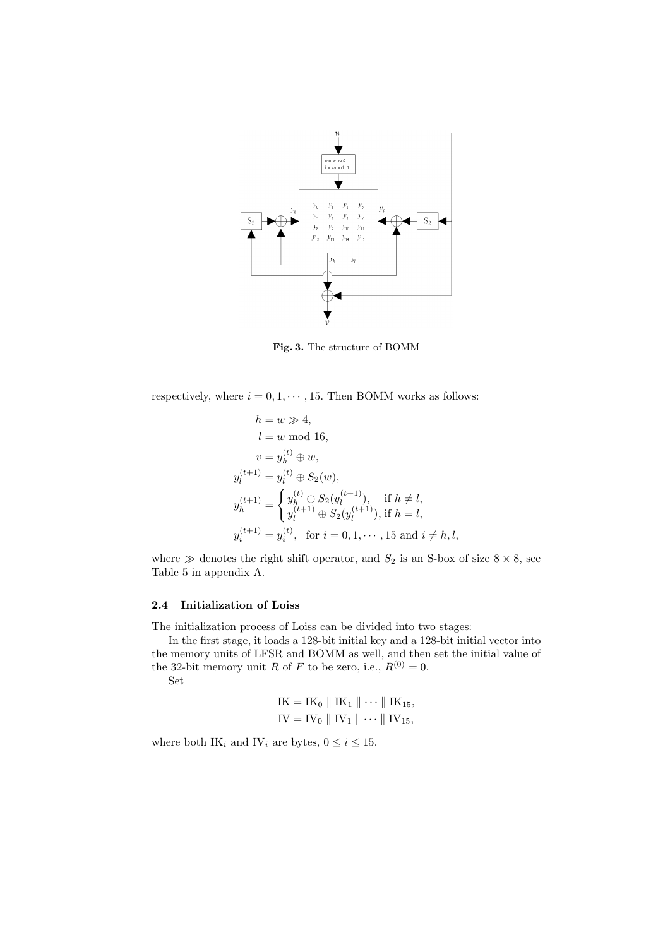

**Fig. 3.** The structure of BOMM

respectively, where  $i = 0, 1, \dots, 15$ . Then BOMM works as follows:

$$
h = w \gg 4,
$$
  
\n
$$
l = w \mod 16,
$$
  
\n
$$
v = y_h^{(t)} \oplus w,
$$
  
\n
$$
y_l^{(t+1)} = y_l^{(t)} \oplus S_2(w),
$$
  
\n
$$
y_h^{(t+1)} = \begin{cases} y_h^{(t)} \oplus S_2(y_l^{(t+1)}), & \text{if } h \neq l, \\ y_l^{(t+1)} \oplus S_2(y_l^{(t+1)}), & \text{if } h = l, \end{cases}
$$
  
\n
$$
y_i^{(t+1)} = y_i^{(t)}, \text{ for } i = 0, 1, \dots, 15 \text{ and } i \neq h, l,
$$

where  $\gg$  denotes the right shift operator, and  $S_2$  is an S-box of size  $8 \times 8$ , see Table 5 in appendix A.

#### **2.4 Initialization of Loiss**

The initialization process of Loiss can be divided into two stages:

In the first stage, it loads a 128-bit initial key and a 128-bit initial vector into the memory units of LFSR and BOMM as well, and then set the initial value of the 32-bit memory unit *R* of *F* to be zero, i.e.,  $R^{(0)} = 0$ .

Set

$$
IK = IK_0 \parallel IK_1 \parallel \cdots \parallel IK_{15},
$$
  

$$
IV = IV_0 \parallel IV_1 \parallel \cdots \parallel IV_{15},
$$

where both IK<sub>i</sub> and IV<sub>i</sub> are bytes,  $0 \le i \le 15$ .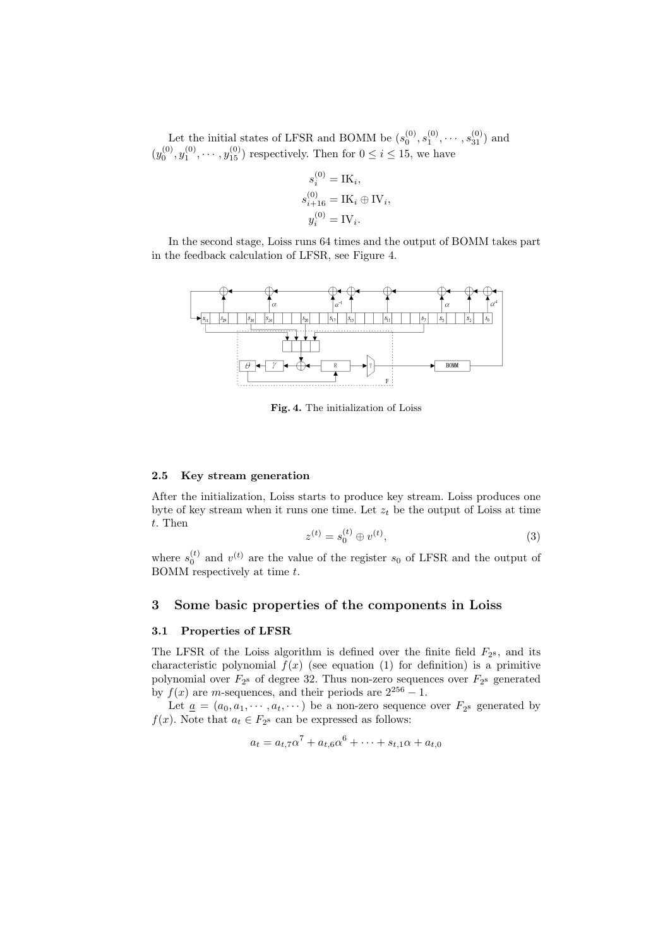Let the initial states of LFSR and BOMM be  $(s_0^{(0)}, s_1^{(0)}, \cdots, s_{31}^{(0)})$  and  $(y_0^{(0)}, y_1^{(0)}, \dots, y_{15}^{(0)})$  respectively. Then for  $0 \le i \le 15$ , we have

$$
s_i^{(0)} = \text{IK}_i,
$$
  
\n
$$
s_{i+16}^{(0)} = \text{IK}_i \oplus \text{IV}_i,
$$
  
\n
$$
y_i^{(0)} = \text{IV}_i.
$$

In the second stage, Loiss runs 64 times and the output of BOMM takes part in the feedback calculation of LFSR, see Figure 4.



**Fig. 4.** The initialization of Loiss

#### **2.5 Key stream generation**

After the initialization, Loiss starts to produce key stream. Loiss produces one byte of key stream when it runs one time. Let  $z_t$  be the output of Loiss at time *t*. Then

$$
z^{(t)} = s_0^{(t)} \oplus v^{(t)}, \tag{3}
$$

where  $s_0^{(t)}$  and  $v^{(t)}$  are the value of the register  $s_0$  of LFSR and the output of BOMM respectively at time *t*.

### **3 Some basic properties of the components in Loiss**

### **3.1 Properties of LFSR**

The LFSR of the Loiss algorithm is defined over the finite field  $F_{2^8}$ , and its characteristic polynomial  $f(x)$  (see equation (1) for definition) is a primitive polynomial over  $F_{2}$ <sup>s</sup> of degree 32. Thus non-zero sequences over  $F_{2}$ <sup>s</sup> generated by  $f(x)$  are *m*-sequences, and their periods are  $2^{256} - 1$ .

Let  $\underline{a} = (a_0, a_1, \dots, a_t, \dots)$  be a non-zero sequence over  $F_{2^8}$  generated by *f*(*x*). Note that  $a_t \in F_{2^8}$  can be expressed as follows:

$$
a_t = a_{t,7}\alpha^7 + a_{t,6}\alpha^6 + \dots + s_{t,1}\alpha + a_{t,0}
$$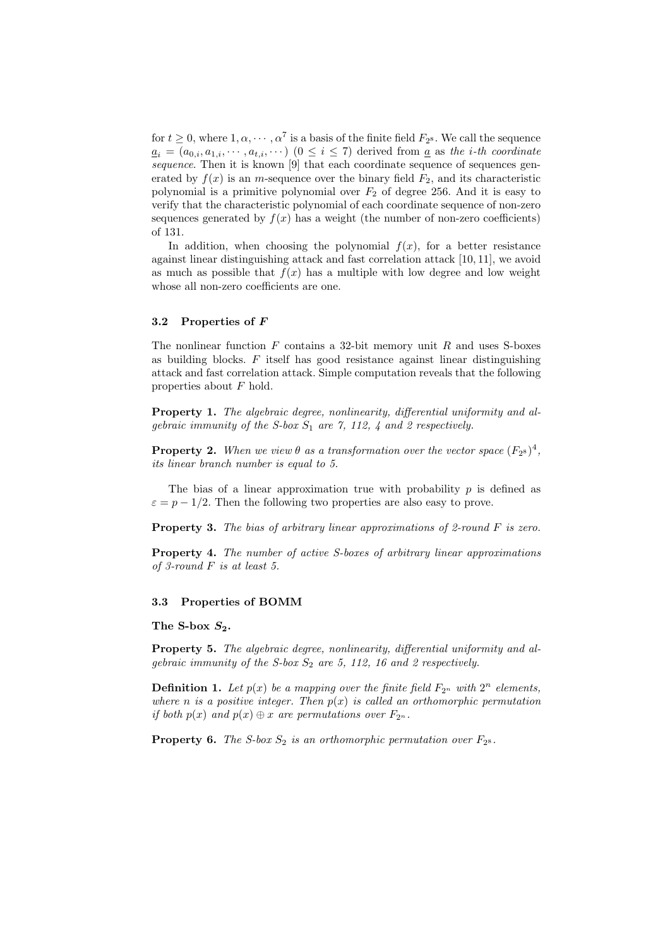for  $t \geq 0$ , where  $1, \alpha, \dots, \alpha^7$  is a basis of the finite field  $F_{2^8}$ . We call the sequence  $a_i = (a_{0,i}, a_{1,i}, \dots, a_{t,i}, \dots)$  ( $0 \leq i \leq 7$ ) derived from <u>*a*</u> as the *i*-th coordinate *sequence*. Then it is known [9] that each coordinate sequence of sequences generated by  $f(x)$  is an *m*-sequence over the binary field  $F_2$ , and its characteristic polynomial is a primitive polynomial over *F*<sup>2</sup> of degree 256. And it is easy to verify that the characteristic polynomial of each coordinate sequence of non-zero sequences generated by  $f(x)$  has a weight (the number of non-zero coefficients) of 131.

In addition, when choosing the polynomial  $f(x)$ , for a better resistance against linear distinguishing attack and fast correlation attack [10, 11], we avoid as much as possible that  $f(x)$  has a multiple with low degree and low weight whose all non-zero coefficients are one.

### **3.2 Properties of** *F*

The nonlinear function *F* contains a 32-bit memory unit *R* and uses S-boxes as building blocks. *F* itself has good resistance against linear distinguishing attack and fast correlation attack. Simple computation reveals that the following properties about *F* hold.

**Property 1.** *The algebraic degree, nonlinearity, differential uniformity and algebraic immunity of the S-box S*<sup>1</sup> *are 7, 112, 4 and 2 respectively.*

**Property 2.** When we view  $\theta$  as a transformation over the vector space  $(F_{2^8})^4$ , *its linear branch number is equal to 5.*

The bias of a linear approximation true with probability *p* is defined as  $\varepsilon = p - 1/2$ . Then the following two properties are also easy to prove.

**Property 3.** *The bias of arbitrary linear approximations of 2-round F is zero.*

**Property 4.** *The number of active S-boxes of arbitrary linear approximations of 3-round F is at least 5.*

### **3.3 Properties of BOMM**

### The S-box  $S_2$ .

**Property 5.** *The algebraic degree, nonlinearity, differential uniformity and algebraic immunity of the S-box S*<sup>2</sup> *are 5, 112, 16 and 2 respectively.*

**Definition 1.** Let  $p(x)$  be a mapping over the finite field  $F_{2^n}$  with  $2^n$  elements, *where n is a positive integer. Then*  $p(x)$  *is called an orthomorphic permutation if both*  $p(x)$  *and*  $p(x) \oplus x$  *are permutations over*  $F_{2^n}$ *.* 

**Property 6.** *The S-box*  $S_2$  *is an orthomorphic permutation over*  $F_{2^8}$ *.*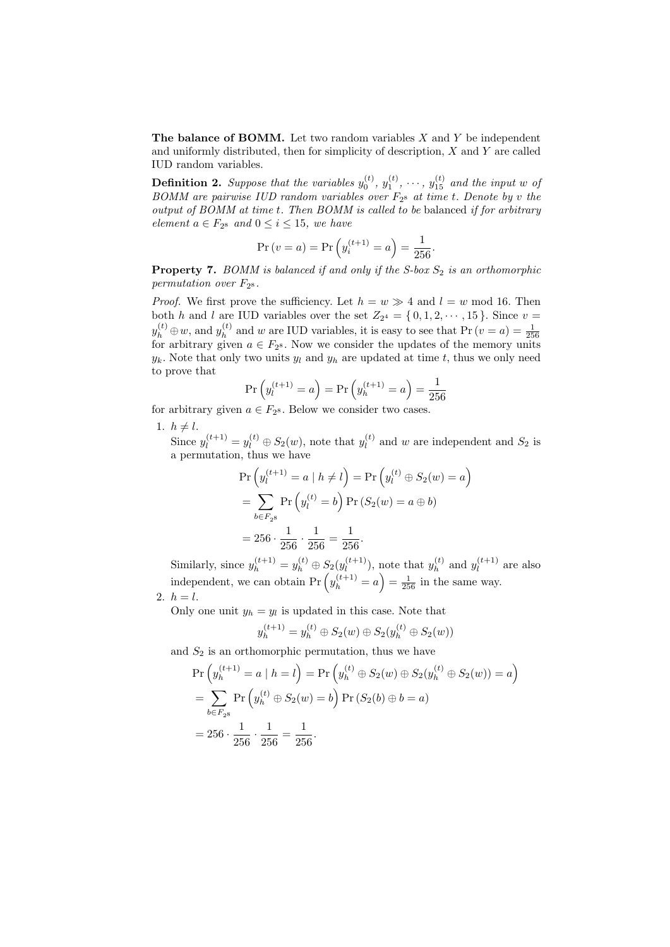**The balance of BOMM.** Let two random variables *X* and *Y* be independent and uniformly distributed, then for simplicity of description, *X* and *Y* are called IUD random variables.

**Definition 2.** Suppose that the variables  $y_0^{(t)}$ ,  $y_1^{(t)}$ ,  $\cdots$ ,  $y_{15}^{(t)}$  and the input  $w$  of *BOMM are pairwise IUD random variables over F*<sup>2</sup> <sup>8</sup> *at time t. Denote by v the output of BOMM at time t. Then BOMM is called to be* balanced *if for arbitrary element*  $a \in F_{2^8}$  *and*  $0 \le i \le 15$ *, we have* 

$$
\Pr(v = a) = \Pr(y_i^{(t+1)} = a) = \frac{1}{256}.
$$

**Property 7.** *BOMM is balanced if and only if the S-box S*<sup>2</sup> *is an orthomorphic permutation over*  $F_{2^8}$ .

*Proof.* We first prove the sufficiency. Let  $h = w \gg 4$  and  $l = w \mod 16$ . Then both *h* and *l* are IUD variables over the set  $Z_{2^4} = \{0, 1, 2, \dots, 15\}$ . Since  $v =$  $y_h^{(t)} \oplus w$ , and  $y_h^{(t)}$  $y_h^{(t)} \oplus w$ , and  $y_h^{(t)}$  and *w* are IUD variables, it is easy to see that Pr  $(v = a) = \frac{1}{256}$  for arbitrary given  $a \in F_{28}$ . Now we consider the updates of the memory units  $y_k$ . Note that only two units  $y_l$  and  $y_h$  are updated at time  $t$ , thus we only need to prove that

$$
\Pr\left(y_l^{(t+1)} = a\right) = \Pr\left(y_h^{(t+1)} = a\right) = \frac{1}{256}
$$

for arbitrary given  $a \in F_{2^8}$ . Below we consider two cases.

1.  $h \neq l$ .

Since  $y_l^{(t+1)} = y_l^{(t)} \oplus S_2(w)$ , note that  $y_l^{(t)}$  $l_l^{(t)}$  and *w* are independent and  $S_2$  is a permutation, thus we have

$$
\Pr\left(y_l^{(t+1)} = a \mid h \neq l\right) = \Pr\left(y_l^{(t)} \oplus S_2(w) = a\right)
$$

$$
= \sum_{b \in F_{2^8}} \Pr\left(y_l^{(t)} = b\right) \Pr\left(S_2(w) = a \oplus b\right)
$$

$$
= 256 \cdot \frac{1}{256} \cdot \frac{1}{256} = \frac{1}{256}.
$$

Similarly, since  $y_h^{(t+1)} = y_h^{(t)} \oplus S_2(y_l^{(t+1)})$  $y_l^{(t+1)}$ , note that  $y_h^{(t)}$  $y_l^{(t)}$  and  $y_l^{(t+1)}$  $l_l^{(l+1)}$  are also independent, we can obtain  $Pr(y_h^{(t+1)} = a) = \frac{1}{256}$  in the same way.  $2. h = l.$ 

Only one unit  $y_h = y_l$  is updated in this case. Note that

$$
y_h^{(t+1)} = y_h^{(t)} \oplus S_2(w) \oplus S_2(y_h^{(t)} \oplus S_2(w))
$$

and  $S_2$  is an orthomorphic permutation, thus we have

$$
\Pr\left(y_h^{(t+1)} = a \mid h = l\right) = \Pr\left(y_h^{(t)} \oplus S_2(w) \oplus S_2(y_h^{(t)} \oplus S_2(w)) = a\right)
$$
  
= 
$$
\sum_{b \in F_{2^8}} \Pr\left(y_h^{(t)} \oplus S_2(w) = b\right) \Pr\left(S_2(b) \oplus b = a\right)
$$
  
= 256 \cdot 
$$
\frac{1}{256} \cdot \frac{1}{256} = \frac{1}{256}.
$$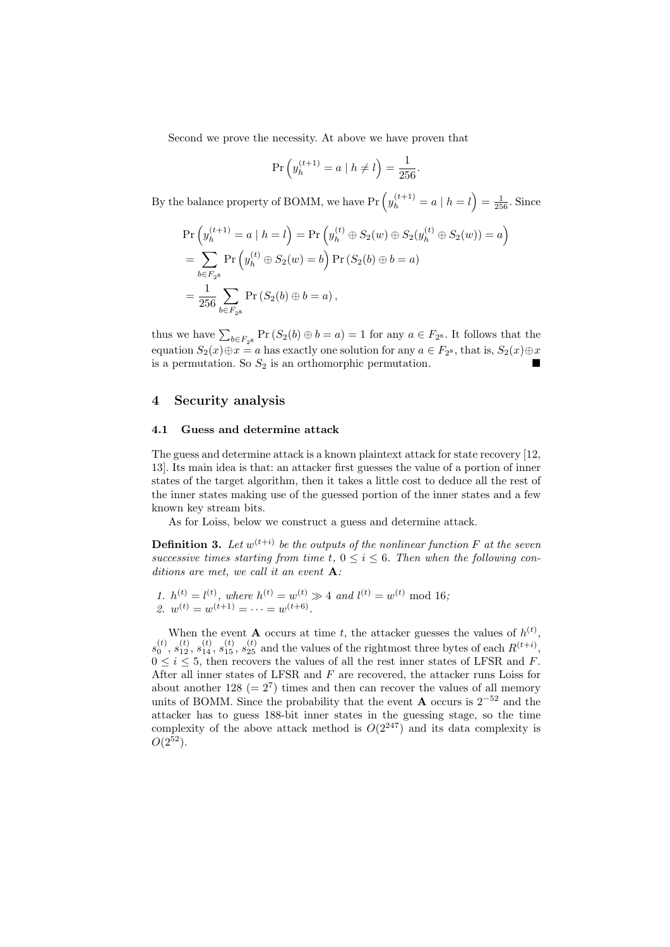Second we prove the necessity. At above we have proven that

$$
\Pr\left(y_h^{(t+1)} = a \mid h \neq l\right) = \frac{1}{256}.
$$

By the balance property of BOMM, we have  $Pr\left(y_h^{(t+1)} = a \mid h = l\right) = \frac{1}{256}$ . Since

$$
\Pr\left(y_h^{(t+1)} = a \mid h = l\right) = \Pr\left(y_h^{(t)} \oplus S_2(w) \oplus S_2(y_h^{(t)} \oplus S_2(w)) = a\right)
$$
  
= 
$$
\sum_{b \in F_{2^8}} \Pr\left(y_h^{(t)} \oplus S_2(w) = b\right) \Pr\left(S_2(b) \oplus b = a\right)
$$
  
= 
$$
\frac{1}{256} \sum_{b \in F_{2^8}} \Pr\left(S_2(b) \oplus b = a\right),
$$

thus we have  $\sum_{b \in F_{2^8}} \Pr(S_2(b) \oplus b = a) = 1$  for any  $a \in F_{2^8}$ . It follows that the equation  $S_2(x) \oplus x = a$  has exactly one solution for any  $a \in F_{2^8}$ , that is,  $S_2(x) \oplus x$ is a permutation. So  $S_2$  is an orthomorphic permutation.

### **4 Security analysis**

### **4.1 Guess and determine attack**

The guess and determine attack is a known plaintext attack for state recovery [12, 13]. Its main idea is that: an attacker first guesses the value of a portion of inner states of the target algorithm, then it takes a little cost to deduce all the rest of the inner states making use of the guessed portion of the inner states and a few known key stream bits.

As for Loiss, below we construct a guess and determine attack.

**Definition 3.** Let  $w^{(t+i)}$  be the outputs of the nonlinear function F at the seven *successive times starting from time t,*  $0 \leq i \leq 6$ . Then when the following con*ditions are met, we call it an event* **A***:*

*1.*  $h^{(t)} = l^{(t)}$ , where  $h^{(t)} = w^{(t)} \gg 4$  and  $l^{(t)} = w^{(t)} \mod 16$ ; 2.  $w^{(t)} = w^{(t+1)} = \cdots = w^{(t+6)}$ .

When the event **A** occurs at time *t*, the attacker guesses the values of  $h^{(t)}$ ,  $s_0^{(t)}$ ,  $s_{12}^{(t)}$ ,  $s_{14}^{(t)}$ ,  $s_{15}^{(t)}$ ,  $s_{25}^{(t)}$  and the values of the rightmost three bytes of each  $R^{(t+i)}$ ,  $0 \leq i \leq 5$ , then recovers the values of all the rest inner states of LFSR and *F*. After all inner states of LFSR and *F* are recovered, the attacker runs Loiss for about another  $128 (= 2<sup>7</sup>)$  times and then can recover the values of all memory units of BOMM. Since the probability that the event **A** occurs is 2*−*<sup>52</sup> and the attacker has to guess 188-bit inner states in the guessing stage, so the time complexity of the above attack method is  $O(2^{247})$  and its data complexity is  $O(2^{52})$ .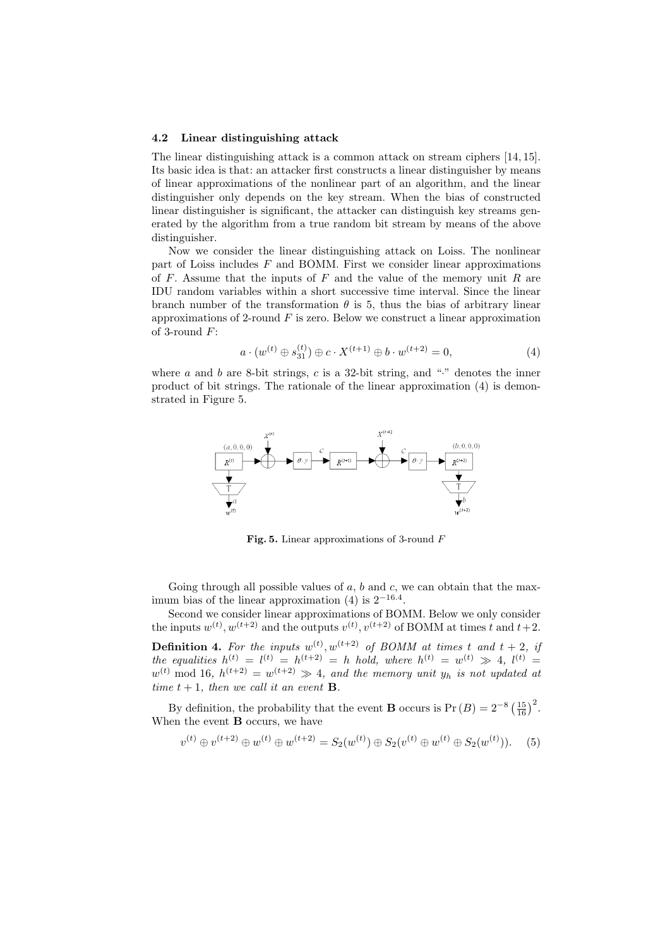#### **4.2 Linear distinguishing attack**

The linear distinguishing attack is a common attack on stream ciphers [14, 15]. Its basic idea is that: an attacker first constructs a linear distinguisher by means of linear approximations of the nonlinear part of an algorithm, and the linear distinguisher only depends on the key stream. When the bias of constructed linear distinguisher is significant, the attacker can distinguish key streams generated by the algorithm from a true random bit stream by means of the above distinguisher.

Now we consider the linear distinguishing attack on Loiss. The nonlinear part of Loiss includes *F* and BOMM. First we consider linear approximations of *F*. Assume that the inputs of *F* and the value of the memory unit *R* are IDU random variables within a short successive time interval. Since the linear branch number of the transformation  $\theta$  is 5, thus the bias of arbitrary linear approximations of 2-round *F* is zero. Below we construct a linear approximation of 3-round *F*:

$$
a \cdot (w^{(t)} \oplus s_{31}^{(t)}) \oplus c \cdot X^{(t+1)} \oplus b \cdot w^{(t+2)} = 0,
$$
\n(4)

where *a* and *b* are 8-bit strings, *c* is a 32-bit string, and " $\cdot$ " denotes the inner product of bit strings. The rationale of the linear approximation (4) is demonstrated in Figure 5.



**Fig. 5.** Linear approximations of 3-round *F*

Going through all possible values of a, b and c, we can obtain that the maximum bias of the linear approximation (4) is 2*−*16*.*<sup>4</sup> .

Second we consider linear approximations of BOMM. Below we only consider the inputs  $w^{(t)}$ ,  $w^{(t+2)}$  and the outputs  $v^{(t)}$ ,  $v^{(t+2)}$  of BOMM at times *t* and  $t+2$ . **Definition 4.** For the inputs  $w^{(t)}$ ,  $w^{(t+2)}$  of BOMM at times t and  $t + 2$ , if *the equalities*  $h^{(t)} = l^{(t)} = h^{(t+2)} = h$  *hold, where*  $h^{(t)} = w^{(t)} \gg 4$ ,  $l^{(t)} =$  $w^{(t)}$  mod 16*,*  $h^{(t+2)} = w^{(t+2)} \gg 4$ , and the memory unit  $y_h$  is not updated at *time*  $t + 1$ *, then we call it an event* **B***.* 

By definition, the probability that the event **B** occurs is Pr  $(B) = 2^{-8} \left(\frac{15}{16}\right)^2$ . When the event **B** occurs, we have

$$
v^{(t)} \oplus v^{(t+2)} \oplus w^{(t)} \oplus w^{(t+2)} = S_2(w^{(t)}) \oplus S_2(v^{(t)} \oplus w^{(t)} \oplus S_2(w^{(t)})).
$$
 (5)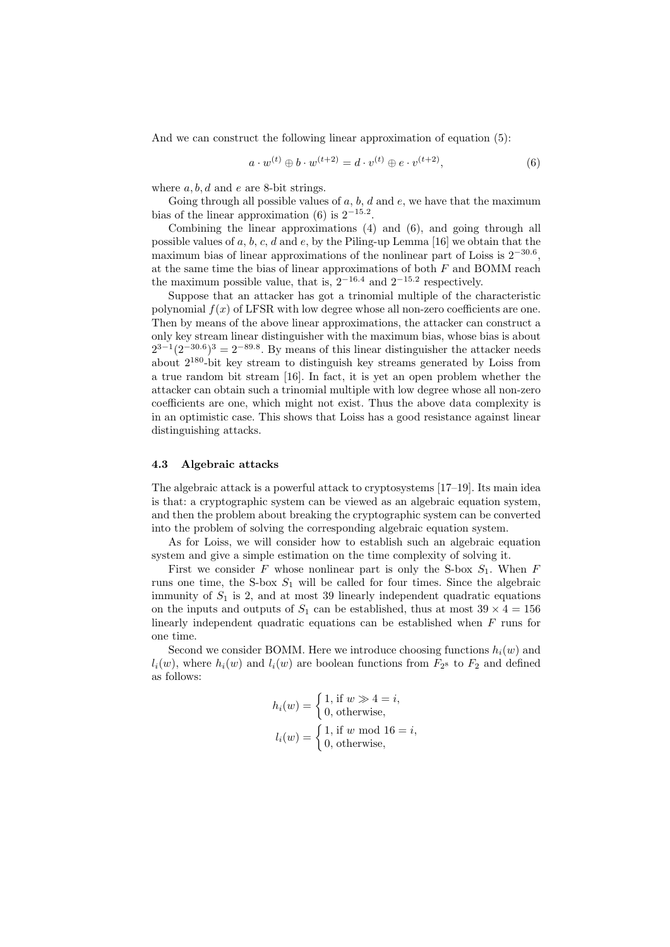And we can construct the following linear approximation of equation (5):

$$
a \cdot w^{(t)} \oplus b \cdot w^{(t+2)} = d \cdot v^{(t)} \oplus e \cdot v^{(t+2)}, \tag{6}
$$

where *a, b, d* and *e* are 8-bit strings.

Going through all possible values of *a*, *b*, *d* and *e*, we have that the maximum bias of the linear approximation (6) is 2*−*15*.*<sup>2</sup> .

Combining the linear approximations (4) and (6), and going through all possible values of *a*, *b*, *c*, *d* and *e*, by the Piling-up Lemma [16] we obtain that the maximum bias of linear approximations of the nonlinear part of Loiss is 2*−*30*.*<sup>6</sup> , at the same time the bias of linear approximations of both *F* and BOMM reach the maximum possible value, that is, 2*−*16*.*<sup>4</sup> and 2*−*15*.*<sup>2</sup> respectively.

Suppose that an attacker has got a trinomial multiple of the characteristic polynomial  $f(x)$  of LFSR with low degree whose all non-zero coefficients are one. Then by means of the above linear approximations, the attacker can construct a only key stream linear distinguisher with the maximum bias, whose bias is about  $2^{3-1}(2^{-30.6})^3 = 2^{-89.8}$ . By means of this linear distinguisher the attacker needs about 2<sup>180</sup>-bit key stream to distinguish key streams generated by Loiss from a true random bit stream [16]. In fact, it is yet an open problem whether the attacker can obtain such a trinomial multiple with low degree whose all non-zero coefficients are one, which might not exist. Thus the above data complexity is in an optimistic case. This shows that Loiss has a good resistance against linear distinguishing attacks.

### **4.3 Algebraic attacks**

The algebraic attack is a powerful attack to cryptosystems [17–19]. Its main idea is that: a cryptographic system can be viewed as an algebraic equation system, and then the problem about breaking the cryptographic system can be converted into the problem of solving the corresponding algebraic equation system.

As for Loiss, we will consider how to establish such an algebraic equation system and give a simple estimation on the time complexity of solving it.

First we consider  $F$  whose nonlinear part is only the S-box  $S_1$ . When  $F$ runs one time, the S-box  $S_1$  will be called for four times. Since the algebraic immunity of  $S_1$  is 2, and at most 39 linearly independent quadratic equations on the inputs and outputs of  $S_1$  can be established, thus at most  $39 \times 4 = 156$ linearly independent quadratic equations can be established when *F* runs for one time.

Second we consider BOMM. Here we introduce choosing functions  $h_i(w)$  and  $l_i(w)$ , where  $h_i(w)$  and  $l_i(w)$  are boolean functions from  $F_{2^8}$  to  $F_2$  and defined as follows:

$$
h_i(w) = \begin{cases} 1, \text{ if } w \gg 4 = i, \\ 0, \text{ otherwise,} \end{cases}
$$

$$
l_i(w) = \begin{cases} 1, \text{ if } w \text{ mod } 16 = i, \\ 0, \text{ otherwise,} \end{cases}
$$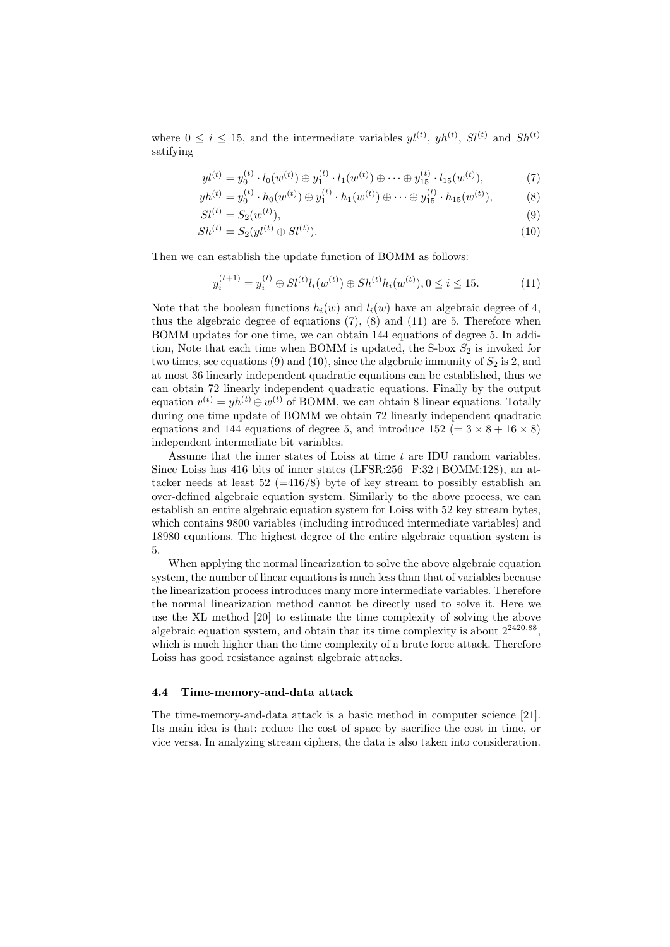where  $0 \leq i \leq 15$ , and the intermediate variables  $yl^{(t)}$ ,  $yh^{(t)}$ ,  $Sl^{(t)}$  and  $Sh^{(t)}$ satifying

$$
yl^{(t)} = y_0^{(t)} \cdot l_0(w^{(t)}) \oplus y_1^{(t)} \cdot l_1(w^{(t)}) \oplus \cdots \oplus y_{15}^{(t)} \cdot l_{15}(w^{(t)}), \tag{7}
$$

$$
yh^{(t)} = y_0^{(t)} \cdot h_0(w^{(t)}) \oplus y_1^{(t)} \cdot h_1(w^{(t)}) \oplus \cdots \oplus y_{15}^{(t)} \cdot h_{15}(w^{(t)}),
$$
 (8)

$$
SI^{(t)} = S_2(w^{(t)}),\tag{9}
$$

$$
Sh^{(t)} = S_2(yl^{(t)} \oplus Sl^{(t)}).
$$
\n(10)

Then we can establish the update function of BOMM as follows:

$$
y_i^{(t+1)} = y_i^{(t)} \oplus Sl^{(t)}l_i(w^{(t)}) \oplus Sh^{(t)}h_i(w^{(t)}), 0 \le i \le 15.
$$
 (11)

Note that the boolean functions  $h_i(w)$  and  $l_i(w)$  have an algebraic degree of 4, thus the algebraic degree of equations  $(7)$ ,  $(8)$  and  $(11)$  are 5. Therefore when BOMM updates for one time, we can obtain 144 equations of degree 5. In addition, Note that each time when BOMM is updated, the S-box  $S_2$  is invoked for two times, see equations  $(9)$  and  $(10)$ , since the algebraic immunity of  $S_2$  is 2, and at most 36 linearly independent quadratic equations can be established, thus we can obtain 72 linearly independent quadratic equations. Finally by the output equation  $v^{(t)} = yh^{(t)} \oplus w^{(t)}$  of BOMM, we can obtain 8 linear equations. Totally during one time update of BOMM we obtain 72 linearly independent quadratic equations and 144 equations of degree 5, and introduce  $152 (= 3 \times 8 + 16 \times 8)$ independent intermediate bit variables.

Assume that the inner states of Loiss at time *t* are IDU random variables. Since Loiss has 416 bits of inner states (LFSR:256+F:32+BOMM:128), an attacker needs at least  $52$  (=416/8) byte of key stream to possibly establish an over-defined algebraic equation system. Similarly to the above process, we can establish an entire algebraic equation system for Loiss with 52 key stream bytes, which contains 9800 variables (including introduced intermediate variables) and 18980 equations. The highest degree of the entire algebraic equation system is 5.

When applying the normal linearization to solve the above algebraic equation system, the number of linear equations is much less than that of variables because the linearization process introduces many more intermediate variables. Therefore the normal linearization method cannot be directly used to solve it. Here we use the XL method [20] to estimate the time complexity of solving the above algebraic equation system, and obtain that its time complexity is about 2<sup>2420</sup>*.*<sup>88</sup> , which is much higher than the time complexity of a brute force attack. Therefore Loiss has good resistance against algebraic attacks.

#### **4.4 Time-memory-and-data attack**

The time-memory-and-data attack is a basic method in computer science [21]. Its main idea is that: reduce the cost of space by sacrifice the cost in time, or vice versa. In analyzing stream ciphers, the data is also taken into consideration.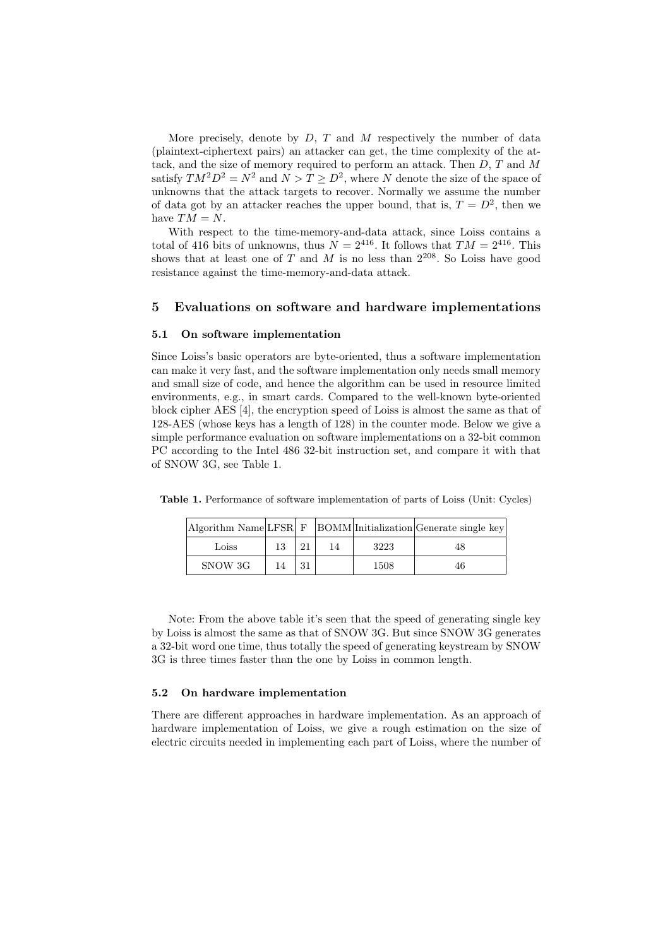More precisely, denote by *D*, *T* and *M* respectively the number of data (plaintext-ciphertext pairs) an attacker can get, the time complexity of the attack, and the size of memory required to perform an attack. Then *D*, *T* and *M* satisfy  $TM^2D^2 = N^2$  and  $N > T \ge D^2$ , where *N* denote the size of the space of unknowns that the attack targets to recover. Normally we assume the number of data got by an attacker reaches the upper bound, that is,  $T = D^2$ , then we have  $TM = N$ .

With respect to the time-memory-and-data attack, since Loiss contains a total of 416 bits of unknowns, thus  $\dot{N} = 2^{416}$ . It follows that  $TM = 2^{416}$ . This shows that at least one of *T* and *M* is no less than  $2^{208}$ . So Loiss have good resistance against the time-memory-and-data attack.

### **5 Evaluations on software and hardware implementations**

### **5.1 On software implementation**

Since Loiss's basic operators are byte-oriented, thus a software implementation can make it very fast, and the software implementation only needs small memory and small size of code, and hence the algorithm can be used in resource limited environments, e.g., in smart cards. Compared to the well-known byte-oriented block cipher AES [4], the encryption speed of Loiss is almost the same as that of 128-AES (whose keys has a length of 128) in the counter mode. Below we give a simple performance evaluation on software implementations on a 32-bit common PC according to the Intel 486 32-bit instruction set, and compare it with that of SNOW 3G, see Table 1.

|         |    |    |      | $\vert$ Algorithm Name $\vert$ LFSR $\vert$ F $\vert$ BOMM $\vert$ Initialization $\vert$ Generate single key $\vert$ |
|---------|----|----|------|-----------------------------------------------------------------------------------------------------------------------|
| Loiss   | 13 | 14 | 3223 | 48                                                                                                                    |
| SNOW 3G | 14 |    | 1508 | 46                                                                                                                    |

**Table 1.** Performance of software implementation of parts of Loiss (Unit: Cycles)

Note: From the above table it's seen that the speed of generating single key by Loiss is almost the same as that of SNOW 3G. But since SNOW 3G generates a 32-bit word one time, thus totally the speed of generating keystream by SNOW 3G is three times faster than the one by Loiss in common length.

### **5.2 On hardware implementation**

There are different approaches in hardware implementation. As an approach of hardware implementation of Loiss, we give a rough estimation on the size of electric circuits needed in implementing each part of Loiss, where the number of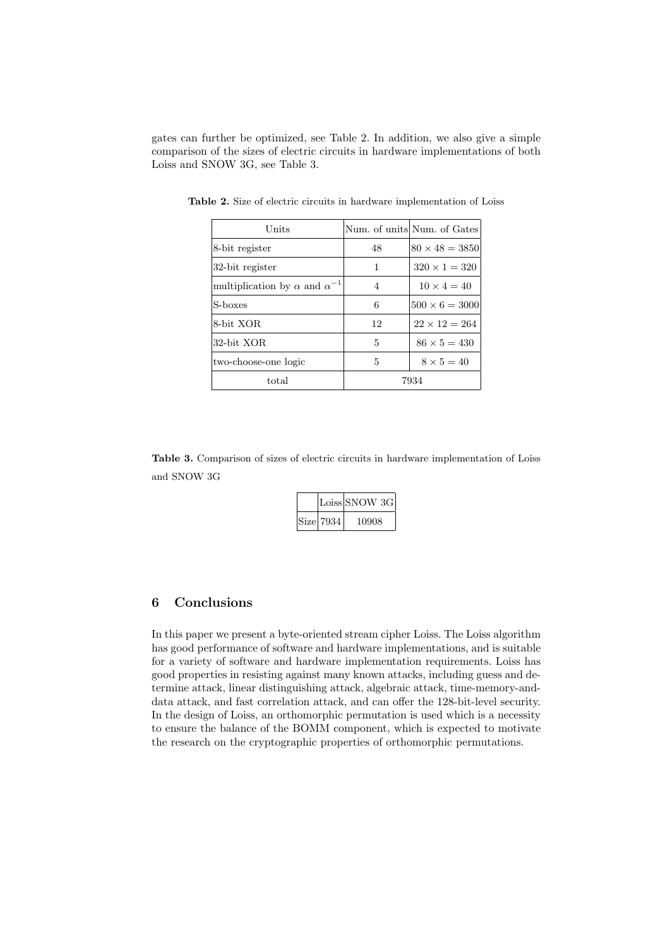gates can further be optimized, see Table 2. In addition, we also give a simple comparison of the sizes of electric circuits in hardware implementations of both Loiss and SNOW 3G, see Table 3.

| Units                                        |    | Num. of units Num. of Gates |
|----------------------------------------------|----|-----------------------------|
| 8-bit register                               | 48 | $80 \times 48 = 3850$       |
| 32-bit register                              | 1  | $320 \times 1 = 320$        |
| multiplication by $\alpha$ and $\alpha^{-1}$ | 4  | $10 \times 4 = 40$          |
| S-boxes                                      | 6  | $500 \times 6 = 3000$       |
| 8-bit XOR                                    | 12 | $22 \times 12 = 264$        |
| 32-bit XOR                                   | 5  | $86 \times 5 = 430$         |
| two-choose-one logic                         | 5  | $8 \times 5 = 40$           |
| total                                        |    | 7934                        |

**Table 2.** Size of electric circuits in hardware implementation of Loiss

**Table 3.** Comparison of sizes of electric circuits in hardware implementation of Loiss and SNOW 3G

|  |           | Loiss SNOW 3G |
|--|-----------|---------------|
|  | Size 7934 | 10908         |

## **6 Conclusions**

In this paper we present a byte-oriented stream cipher Loiss. The Loiss algorithm has good performance of software and hardware implementations, and is suitable for a variety of software and hardware implementation requirements. Loiss has good properties in resisting against many known attacks, including guess and determine attack, linear distinguishing attack, algebraic attack, time-memory-anddata attack, and fast correlation attack, and can offer the 128-bit-level security. In the design of Loiss, an orthomorphic permutation is used which is a necessity to ensure the balance of the BOMM component, which is expected to motivate the research on the cryptographic properties of orthomorphic permutations.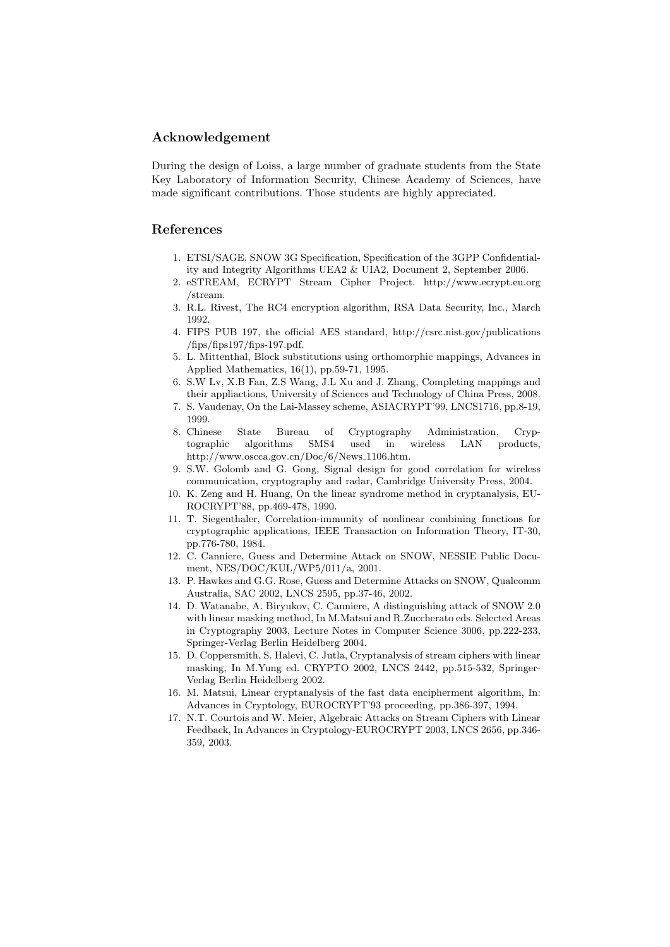### **Acknowledgement**

During the design of Loiss, a large number of graduate students from the State Key Laboratory of Information Security, Chinese Academy of Sciences, have made significant contributions. Those students are highly appreciated.

### **References**

- 1. ETSI/SAGE, SNOW 3G Specification, Specification of the 3GPP Confidentiality and Integrity Algorithms UEA2 & UIA2, Document 2, September 2006.
- 2. eSTREAM, ECRYPT Stream Cipher Project. http://www.ecrypt.eu.org /stream.
- 3. R.L. Rivest, The RC4 encryption algorithm, RSA Data Security, Inc., March 1992.
- 4. FIPS PUB 197, the official AES standard, http://csrc.nist.gov/publications  $/fips/fips197/fips-197.pdf.$
- 5. L. Mittenthal, Block substitutions using orthomorphic mappings, Advances in Applied Mathematics, 16(1), pp.59-71, 1995.
- 6. S.W Lv, X.B Fan, Z.S Wang, J.L Xu and J. Zhang, Completing mappings and their appliactions, University of Sciences and Technology of China Press, 2008.
- 7. S. Vaudenay, On the Lai-Massey scheme, ASIACRYPT'99, LNCS1716, pp.8-19, 1999.
- 8. Chinese State Bureau of Cryptography Administration, Cryptographic algorithms SMS4 used in wireless LAN products, http://www.oscca.gov.cn/Doc/6/News 1106.htm.
- 9. S.W. Golomb and G. Gong, Signal design for good correlation for wireless communication, cryptography and radar, Cambridge University Press, 2004.
- 10. K. Zeng and H. Huang, On the linear syndrome method in cryptanalysis, EU-ROCRYPT'88, pp.469-478, 1990.
- 11. T. Siegenthaler, Correlation-immunity of nonlinear combining functions for cryptographic applications, IEEE Transaction on Information Theory, IT-30, pp.776-780, 1984.
- 12. C. Canniere, Guess and Determine Attack on SNOW, NESSIE Public Document, NES/DOC/KUL/WP5/011/a, 2001.
- 13. P. Hawkes and G.G. Rose, Guess and Determine Attacks on SNOW, Qualcomm Australia, SAC 2002, LNCS 2595, pp.37-46, 2002.
- 14. D. Watanabe, A. Biryukov, C. Canniere, A distinguishing attack of SNOW 2.0 with linear masking method, In M.Matsui and R.Zuccherato eds. Selected Areas in Cryptography 2003, Lecture Notes in Computer Science 3006, pp.222-233, Springer-Verlag Berlin Heidelberg 2004.
- 15. D. Coppersmith, S. Halevi, C. Jutla, Cryptanalysis of stream ciphers with linear masking, In M.Yung ed. CRYPTO 2002, LNCS 2442, pp.515-532, Springer-Verlag Berlin Heidelberg 2002.
- 16. M. Matsui, Linear cryptanalysis of the fast data encipherment algorithm, In: Advances in Cryptology, EUROCRYPT'93 proceeding, pp.386-397, 1994.
- 17. N.T. Courtois and W. Meier, Algebraic Attacks on Stream Ciphers with Linear Feedback, In Advances in Cryptology-EUROCRYPT 2003, LNCS 2656, pp.346- 359, 2003.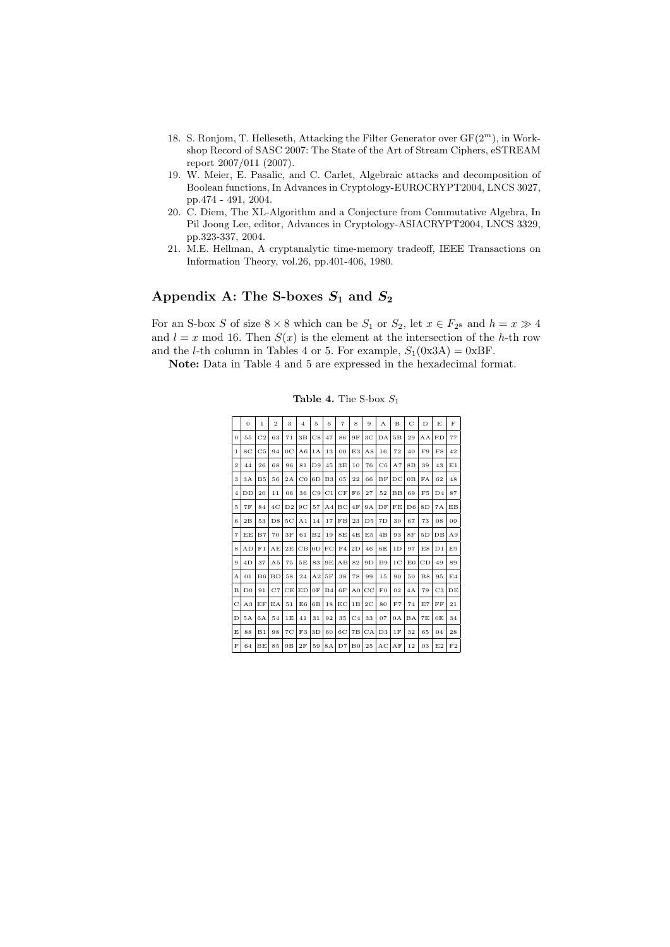- 18. S. Ronjom, T. Helleseth, Attacking the Filter Generator over GF(2*<sup>m</sup>*), in Workshop Record of SASC 2007: The State of the Art of Stream Ciphers, eSTREAM report 2007/011 (2007).
- 19. W. Meier, E. Pasalic, and C. Carlet, Algebraic attacks and decomposition of Boolean functions, In Advances in Cryptology-EUROCRYPT2004, LNCS 3027, pp.474 - 491, 2004.
- 20. C. Diem, The XL-Algorithm and a Conjecture from Commutative Algebra, In Pil Joong Lee, editor, Advances in Cryptology-ASIACRYPT2004, LNCS 3329, pp.323-337, 2004.
- 21. M.E. Hellman, A cryptanalytic time-memory tradeoff, IEEE Transactions on Information Theory, vol.26, pp.401-406, 1980.

# Appendix A: The S-boxes  $S_1$  and  $S_2$

For an S-box *S* of size  $8 \times 8$  which can be  $S_1$  or  $S_2$ , let  $x \in F_2$  and  $h = x \gg 4$ and  $l = x \mod 16$ . Then  $S(x)$  is the element at the intersection of the *h*-th row and the *l*-th column in Tables 4 or 5. For example,  $S_1(0x3A) = 0xBF$ .

**Note:** Data in Table 4 and 5 are expressed in the hexadecimal format.

|                | $\overline{0}$ | $\mathbf{1}$   | $\overline{2}$ | 3              | $\overline{4}$ | 5              | 6              | $\overline{7}$ | 8              | 9              | A              | B              | C              | D  | E,             | $\mathbf{F}$   |
|----------------|----------------|----------------|----------------|----------------|----------------|----------------|----------------|----------------|----------------|----------------|----------------|----------------|----------------|----|----------------|----------------|
| $\overline{0}$ | 55             | C <sub>2</sub> | 63             | 71             | 3B             | $_{\rm C8}$    | 47             | 86             | 9Ε             | ЗC             | DA             | 5B             | 29             | AΑ | FD             | 77             |
| $\mathbf{1}$   | 8 <sub>C</sub> | C <sub>5</sub> | 94             | 0 <sup>C</sup> | A6             | 1A             | 13             | 00             | E3             | A8             | 16             | 72             | 40             | F9 | F8             | 42             |
| $\overline{2}$ | 44             | 26             | 68             | 96             | 81             | D <sub>9</sub> | 45             | 3E             | 10             | 76             | C6             | A7             | 8B             | 39 | 43             | E1             |
| 3              | 3A             | B <sub>5</sub> | 56             | 2A             | $_{\rm CO}$    | 6 <sub>D</sub> | B <sub>3</sub> | 05             | 22             | 66             | BF             | DC             | 0B             | FA | 62             | 48             |
| $\overline{4}$ | DD             | 20             | 11             | 06             | 36             | C9             | C1             | CF             | F6             | 27             | 52             | $_{\rm BB}$    | 69             | F5 | D <sub>4</sub> | 87             |
| 5              | 7Ε             | 84             | 4C             | D <sub>2</sub> | 9 <sup>C</sup> | 57             | A <sub>4</sub> | BC             | 4F             | 9A             | DF             | FE             | D <sub>6</sub> | 8D | 7A             | EB             |
| 6              | 2B             | 53             | D8             | 5C             | A <sub>1</sub> | 14             | 17             | FB             | 23             | D <sub>5</sub> | 7D             | 30             | 67             | 73 | 08             | 09             |
| $\overline{7}$ | EΕ             | B7             | 70             | 3F             | 61             | B <sub>2</sub> | 19             | 8E             | 4E             | E <sub>5</sub> | 4B             | 93             | 8F             | 5D | DB             | A9             |
| 8              | AD             | F1             | AΕ             | 2E             | CB             | 0 <sub>D</sub> | FC             | FA             | 2D             | 46             | 6E             | 1D             | 97             | E8 | D <sub>1</sub> | E9             |
| 9              | 4D             | 37             | A <sub>5</sub> | 75             | 5E             | 83             | 9E             | AB             | 82             | 9D             | <b>B9</b>      | 1 <sub>C</sub> | E <sub>0</sub> | CD | 49             | 89             |
| А              | 01             | B6             | <b>BD</b>      | 58             | 24             | A <sub>2</sub> | 5F             | 38             | 78             | 99             | 15             | 90             | 50             | B8 | 95             | E <sub>4</sub> |
| в              | D <sub>0</sub> | 91             | C7             | CE             | ED             | 0F             | B <sub>4</sub> | 6F             | A <sub>0</sub> | $_{\rm CC}$    | F <sub>0</sub> | 02             | 4A             | 79 | C <sub>3</sub> | DE             |
| Ċ              | A3             | EF             | EA             | 51             | E6             | 6 <sub>B</sub> | 18             | ЕC             | 1B             | 2 <sub>C</sub> | 80             | F7             | 74             | E7 | FF             | 21             |
| D              | 5A             | 6A             | 54             | 1E             | 41             | 31             | 92             | 35             | C <sub>4</sub> | 33             | 07             | 0A             | BA             | 7E | 0E             | 34             |
| E              | 88             | B1             | 98             | 7C             | F3             | 3D             | 60             | 6C             | 7B             | CA             | D3             | 1F             | 32             | 65 | 04             | 28             |
| F              | 64             | BE             | 85             | 9B             | 2F             | 59             | 8A             | D7             | B <sub>0</sub> | 25             | AC             | AF             | 12             | 03 | E2             | F2             |

**Table 4.** The S-box *S*<sup>1</sup>